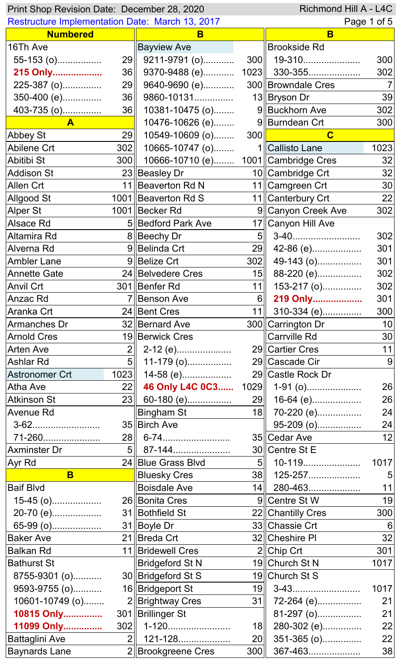| Richmond Hill A - L4C<br>Print Shop Revision Date: December 28, 2020 |                |                                            |                 |                     |      |
|----------------------------------------------------------------------|----------------|--------------------------------------------|-----------------|---------------------|------|
| <b>Restructure Implementation Date: March 13, 2017</b>               |                |                                            |                 | Page 1 of 5         |      |
| <b>Numbered</b>                                                      |                | B                                          |                 | B                   |      |
| 16Th Ave                                                             |                | <b>Bayview Ave</b>                         |                 | <b>Brookside Rd</b> |      |
| 55-153 (o)                                                           |                | 29 9211-9791 (o)                           |                 | $300$   19-310      | 300  |
| 215 Only                                                             |                | 36    9370-9488 (e) 1023    330-355        |                 |                     | 302  |
| 225-387 (o)                                                          |                | 29 9640-9690 (e)                           |                 | 300 Browndale Cres  |      |
| 350-400 (e)                                                          | 36             | 9860-10131                                 |                 | 13 Bryson Dr        | 39   |
| 403-735 (o)                                                          | 36             | 10381-10475 (o)                            |                 | 9 Buckhorn Ave      | 302  |
| $\mathbf{A}$                                                         |                | 10476-10626 (e)                            |                 | 9 Burndean Crt      | 300  |
| Abbey St                                                             | 29             | 10549-10609 (o)                            | 300             | $\mathbf C$         |      |
| Abilene Crt                                                          | 302            | $10665 - 10747$ (o)                        |                 | 1 Callisto Lane     | 1023 |
| Abitibi St                                                           |                | 300   10666-10710 (e) 1001  Cambridge Cres |                 |                     | 32   |
| <b>Addison St</b>                                                    |                | 23 Beasley Dr                              |                 | 10 Cambridge Crt    | 32   |
| <b>Allen Crt</b>                                                     |                | 11   Beaverton Rd N                        |                 | 11  Camgreen Crt    | 30   |
| <b>Allgood St</b>                                                    |                | 1001 Beaverton Rd S                        |                 | 11   Canterbury Crt | 22   |
| <b>Alper St</b>                                                      |                | 1001 Becker Rd                             |                 | 9 Canyon Creek Ave  | 302  |
| Alsace Rd                                                            |                | 5 Bedford Park Ave                         |                 | 17 Canyon Hill Ave  |      |
| Altamira Rd                                                          |                | 8 Beechy Dr                                |                 |                     | 302  |
| Alverna Rd                                                           |                | 9 Belinda Crt                              |                 | 29 42-86 (e)        | 301  |
| <b>Ambler Lane</b>                                                   |                | 9 Belize Crt                               | 302             | 49-143 (o)          | 301  |
| <b>Annette Gate</b>                                                  |                | 24 Belvedere Cres                          | 15              | 88-220 (e)          | 302  |
| <b>Anvil Crt</b>                                                     |                | 301   Benfer Rd                            | 11              | 153-217 (o)         | 302  |
| Anzac Rd                                                             |                | 7 Benson Ave                               |                 | 6 219 Only          | 301  |
| Aranka Crt                                                           |                | 24 Bent Cres                               |                 |                     | 300  |
|                                                                      |                |                                            |                 | 11 310-334 (e)      |      |
| Armanches Dr                                                         |                | 32 Bernard Ave                             |                 | 300 Carrington Dr   | 10   |
| <b>Arnold Cres</b>                                                   |                | 19 Berwick Cres                            |                 | <b>Carrville Rd</b> | 30   |
| <b>Arten Ave</b>                                                     | 2 <sub>1</sub> | 2-12 (e)                                   |                 | 29 Cartier Cres     | 11   |
| <b>Ashlar Rd</b>                                                     | 5              | 11-179 (o)                                 |                 | 29 Cascade Cir      | 9    |
| <b>Astronomer Crt</b>                                                | 1023           | 14-58 (e)                                  |                 | 29 Castle Rock Dr   |      |
| Atha Ave                                                             | 22             | 46 Only L4C 0C3                            |                 | $1029$ 1-91 (o)     | 26   |
| <b>Atkinson St</b>                                                   |                | 23   60-180 (e)                            |                 | $29$ 16-64 (e)      | 26   |
| <b>Avenue Rd</b>                                                     |                | Bingham St                                 |                 | 18 70-220 (e)       | 24   |
|                                                                      |                | 35 Birch Ave                               |                 | 95-209 (o)          | 24   |
| 71-260                                                               |                |                                            |                 | 35 Cedar Ave        | 12   |
| <b>Axminster Dr</b>                                                  |                |                                            |                 | 30 Centre St E      |      |
| Ayr Rd                                                               |                | 24 Blue Grass Blvd                         |                 | $5$   10-119        | 1017 |
| B                                                                    |                | <b>Bluesky Cres</b>                        |                 | $38$   125-257      |      |
| <b>Baif Blvd</b>                                                     |                | <b>Boisdale Ave</b>                        |                 | $14$   280-463      | 11   |
| $15-45$ (o)                                                          |                | 26 Bonita Cres                             |                 | 9 Centre St W       | 19   |
| 20-70 (e)                                                            |                | 31 Bothfield St                            |                 | 22 Chantilly Cres   | 300  |
| 65-99 (o)                                                            |                | 31 Boyle Dr                                |                 | 33 Chassie Crt      | 6    |
| <b>Baker Ave</b>                                                     |                | 21 Breda Crt                               |                 | 32 Cheshire PI      | 32   |
| <b>Balkan Rd</b>                                                     |                | 11   Bridewell Cres                        |                 | $2$ Chip Crt        | 301  |
| <b>Bathurst St</b>                                                   |                | <b>Bridgeford St N</b>                     |                 | 19 Church St N      | 1017 |
| 8755-9301 (o)                                                        |                | 30 Bridgeford St S                         |                 | 19 Church St S      |      |
| 9593-9755 (o)                                                        |                | 16 Bridgeport St                           |                 | $19$ 3-43           | 1017 |
| 10601-10749 (o)                                                      |                | 2 Brightway Cres                           | 31              | 72-264 (e)          | 21   |
| 10815 Only                                                           |                | 301 Brillinger St                          |                 | 81-297 (o)          | 21   |
| 11099 Only                                                           | 302            | 1-120                                      | 18 <sup>l</sup> | 280-302 (e)         | 22   |
| <b>Battaglini Ave</b>                                                | 2 <sub>1</sub> | 121-128                                    | 20              | 351-365 (o)         | 22   |
| <b>Baynards Lane</b>                                                 |                | 2 Brookgreene Cres                         | 300             | 367-463             | 38   |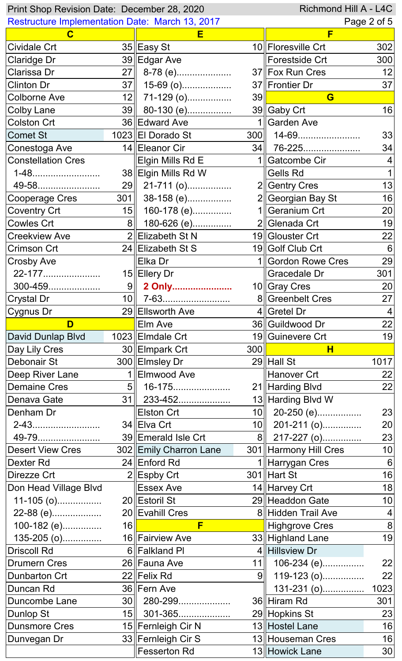| Richmond Hill A - L4C<br>Print Shop Revision Date: December 28, 2020 |                  |                                           |                      |                                       |                                   |
|----------------------------------------------------------------------|------------------|-------------------------------------------|----------------------|---------------------------------------|-----------------------------------|
| <b>Restructure Implementation Date: March 13, 2017</b>               |                  |                                           |                      |                                       | Page 2 of 5                       |
| $\mathbf C$                                                          |                  | Е                                         |                      | F                                     |                                   |
| <b>Cividale Crt</b>                                                  |                  | 35 Easy St                                |                      | 10  Floresville Crt                   | 302                               |
| <b>Claridge Dr</b>                                                   |                  | 39 Edgar Ave                              |                      | Forestside Crt                        | 300                               |
| Clarissa Dr                                                          | 27               | 8-78 (e)                                  |                      | 37 Fox Run Cres                       | 12                                |
| <b>Clinton Dr</b>                                                    | 37               | 15-69 (o)                                 |                      | 37 Frontier Dr                        | 37                                |
| <b>Colborne Ave</b>                                                  |                  | 12 71-129 (o)                             | 39                   | G                                     |                                   |
| <b>Colby Lane</b>                                                    |                  | 39 80-130 (e)                             |                      | 39 Gaby Crt                           | 16                                |
| <b>Colston Crt</b>                                                   |                  | 36 Edward Ave                             |                      | 1 Garden Ave                          |                                   |
| <b>Comet St</b>                                                      |                  | 1023 El Dorado St                         | 300                  | 14-69                                 | 33                                |
| Conestoga Ave                                                        |                  | 14 Eleanor Cir                            |                      | 34   76-225                           | 34                                |
| <b>Constellation Cres</b>                                            |                  | Elgin Mills Rd E                          |                      | 1 Gatcombe Cir                        | 4                                 |
| 1-48                                                                 |                  | 38 Elgin Mills Rd W                       |                      | <b>Gells Rd</b>                       |                                   |
| 49-58                                                                |                  | $29$ 21-711 (o)                           |                      | $2$ Gentry Cres                       | 13                                |
| Cooperage Cres                                                       |                  | $301$ 38-158 (e)                          |                      | 2 Georgian Bay St                     | 16                                |
| <b>Coventry Crt</b>                                                  | 15               | 160-178 (e)                               |                      | 1 Geranium Crt                        | 20                                |
| <b>Cowles Crt</b>                                                    | $8\parallel$     | 180-626 (e)                               |                      | 2 Glenada Crt                         | 19                                |
| <b>Creekview Ave</b>                                                 |                  | 2  Elizabeth St N                         |                      | 19 Glouster Crt                       | 22                                |
| <b>Crimson Crt</b>                                                   |                  | 24 Elizabeth St S                         |                      | 19 Golf Club Crt                      | $6\phantom{1}6$                   |
| <b>Crosby Ave</b>                                                    |                  | Elka Dr                                   |                      | 1 Gordon Rowe Cres                    | 29                                |
| 22-177                                                               |                  | 15 Ellery Dr                              |                      | <b>Gracedale Dr</b>                   | 301                               |
| 300-459                                                              |                  | 9 2 Only                                  |                      | 10 Gray Cres                          | 20                                |
| Crystal Dr                                                           |                  |                                           |                      | 8 Greenbelt Cres                      | 27                                |
| <b>Cygnus Dr</b>                                                     |                  | 29 Ellsworth Ave                          |                      | $4$  Gretel Dr                        | $\vert 4 \vert$                   |
| D                                                                    |                  | Elm Ave                                   |                      | 36 Guildwood Dr                       | 22                                |
|                                                                      |                  |                                           |                      |                                       |                                   |
|                                                                      |                  |                                           |                      |                                       | 19                                |
| David Dunlap Blvd                                                    |                  | 1023 Elmdale Crt                          | 300                  | 19 Guinevere Crt<br>Н                 |                                   |
| Day Lily Cres<br>Debonair St                                         |                  | 30 Elmpark Crt<br>300 Elmsley Dr          |                      | $29$ Hall St                          |                                   |
|                                                                      |                  | 1 Elmwood Ave                             |                      |                                       | 1017<br>22                        |
| Deep River Lane<br><b>Demaine Cres</b>                               | 5                |                                           |                      | Hanover Crt                           | 22                                |
| Denava Gate                                                          | 31               | 16-175                                    |                      | 21 Harding Blvd                       |                                   |
| Denham Dr                                                            |                  | 233-452<br>Elston Crt                     |                      | 13 Harding Blvd W                     | 23                                |
|                                                                      |                  | 34 Elva Crt                               |                      | 10 20-250 (e)                         |                                   |
| 2-43                                                                 |                  |                                           |                      | $10$   201-211 (o)                    | 20                                |
| 49-79<br><b>Desert View Cres</b>                                     |                  | 39 Emerald Isle Crt                       |                      | 8 217-227 (o)                         | 23                                |
| Dexter Rd                                                            |                  | 302 Emily Charron Lane                    |                      | 301 Harmony Hill Cres                 | 10                                |
| Direzze Crt                                                          |                  | 24 Enford Rd                              |                      | 1 Harrygan Cres<br>$301$ Hart St      | $6\,$                             |
|                                                                      |                  | $2$   Espby Crt                           |                      |                                       | 16                                |
| Don Head Village Blvd                                                |                  | <b>Essex Ave</b>                          |                      | 14 Harvey Crt                         | 18                                |
| 11-105 (o)                                                           |                  | 20 Estoril St<br>20 Evahill Cres          |                      | 29 Headdon Gate<br>8 Hidden Trail Ave | 10 <sub>l</sub><br>$\overline{4}$ |
| 22-88 (e)                                                            | 16               | F                                         |                      |                                       |                                   |
| 100-182 (e)                                                          |                  |                                           |                      | Highgrove Cres                        | $\bf 8$                           |
| 135-205 (o)                                                          |                  | 16 Fairview Ave<br>6 Falkland PI          |                      | 33 Highland Lane<br>4 Hillsview Dr    | 19                                |
| <b>Driscoll Rd</b>                                                   |                  |                                           |                      |                                       | 22                                |
| <b>Drumern Cres</b>                                                  |                  | 26 Fauna Ave                              | 11<br>9 <sub>1</sub> | 106-234 (e)                           |                                   |
| Dunbarton Crt                                                        |                  | 22 Felix Rd                               |                      | 119-123 (o)                           | 22                                |
| Duncan Rd<br>Duncombe Lane                                           | 30               | 36 Fern Ave<br>280-299                    |                      | 131-231 (o)<br>36 Hiram Rd            | 1023                              |
|                                                                      | 15 <sub>II</sub> |                                           |                      |                                       | 301                               |
| Dunlop St<br><b>Dunsmore Cres</b>                                    |                  | 301-365                                   |                      | 29 Hopkins St<br>13 Hostel Lane       | 23<br>16                          |
| Dunvegan Dr                                                          |                  | 15  Fernleigh Cir N<br>33 Fernleigh Cir S |                      | 13 Houseman Cres                      | 16                                |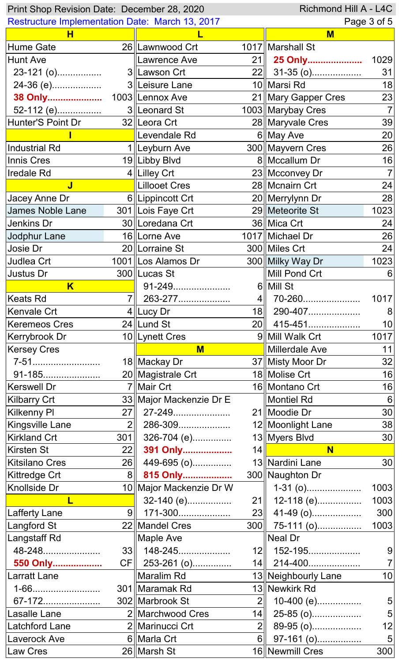|                                                        | Richmond Hill A - L4C<br>Print Shop Revision Date: December 28, 2020 |                                         |                     |                                        |                 |  |  |
|--------------------------------------------------------|----------------------------------------------------------------------|-----------------------------------------|---------------------|----------------------------------------|-----------------|--|--|
| <b>Restructure Implementation Date: March 13, 2017</b> |                                                                      |                                         |                     |                                        | Page 3 of 5     |  |  |
| н                                                      |                                                                      |                                         |                     | M                                      |                 |  |  |
| <b>Hume Gate</b>                                       |                                                                      | 26   Lawnwood Crt                       |                     | 1017   Marshall St                     |                 |  |  |
| <b>Hunt Ave</b>                                        |                                                                      | <b>Lawrence Ave</b>                     | 21                  | 25 Only                                | 1029            |  |  |
| 23-121 (0)                                             |                                                                      | 3  Lawson Crt                           |                     | 22 31-35 (o)                           | 31              |  |  |
| 24-36 (e)                                              |                                                                      | 3  Leisure Lane                         |                     | 10 Marsi Rd                            | 18              |  |  |
| 38 Only                                                |                                                                      | 1003   Lennox Ave                       |                     | 21   Mary Gapper Cres                  | 23              |  |  |
| 52-112 (e)                                             |                                                                      | 3  Leonard St                           |                     | 1003   Marybay Cres                    | $\overline{7}$  |  |  |
| Hunter'S Point Dr                                      |                                                                      | 32 Leora Crt                            |                     | 28 Maryvale Cres                       | 39              |  |  |
|                                                        |                                                                      | Levendale Rd                            |                     | 6 May Ave                              | 20              |  |  |
| Industrial Rd                                          |                                                                      | 1∥Leyburn Ave                           |                     | 300 Mayvern Cres                       | 26              |  |  |
| Innis Cres                                             |                                                                      | 19 Libby Blvd                           |                     | 8   Mccallum Dr                        | 16              |  |  |
| <b>Iredale Rd</b>                                      |                                                                      | $4$   Lilley Crt                        |                     | 23 Mcconvey Dr                         |                 |  |  |
| J                                                      |                                                                      | Lillooet Cres                           |                     | 28 Mcnairn Crt                         | 24              |  |  |
| Jacey Anne Dr                                          |                                                                      | 6  Lippincott Crt                       |                     | 20   Merrylynn Dr                      | 28              |  |  |
| James Noble Lane                                       |                                                                      | 301 Lois Faye Crt                       |                     | 29 Meteorite St                        | 1023            |  |  |
| Jenkins Dr                                             |                                                                      | 30   Loredana Crt                       |                     | 36 Mica Crt                            | 24              |  |  |
| Jodphur Lane                                           |                                                                      | 16 Lorne Ave                            |                     | 1017 Michael Dr                        | 26              |  |  |
| Josie Dr                                               |                                                                      | 20 Lorraine St                          |                     | 300 Miles Crt                          | 24              |  |  |
| Judlea Crt                                             |                                                                      | 1001   Los Alamos Dr                    |                     | 300 Milky Way Dr                       | 1023            |  |  |
| Justus Dr                                              |                                                                      | 300 Lucas St                            |                     | Mill Pond Crt                          | 6               |  |  |
| $\overline{\mathsf{K}}$                                |                                                                      | 91-249.<br>.                            |                     | 6  Mill St                             |                 |  |  |
| Keats Rd                                               |                                                                      |                                         | 4∥                  | 70-260                                 | 1017            |  |  |
| Kenvale Crt                                            |                                                                      | $4$  Lucy Dr                            | 18 <sup>1</sup>     | 290-407                                | 8               |  |  |
| <b>Keremeos Cres</b>                                   |                                                                      | 24 Lund St                              |                     | 20 415-451                             | 10 <sup>1</sup> |  |  |
| Kerrybrook Dr                                          |                                                                      | 10  Lynett Cres                         |                     | 9 Mill Walk Crt                        | 1017            |  |  |
| <b>Kersey Cres</b>                                     |                                                                      | $M$                                     |                     | Millerdale Ave                         | 11              |  |  |
| 7-51                                                   |                                                                      | 18 Mackay Dr                            |                     | 37 Misty Moor Dr                       | 32              |  |  |
| 91-185                                                 |                                                                      | 20 Magistrale Crt                       |                     | 18 Molise Crt                          | 16              |  |  |
| <b>Kerswell Dr</b>                                     |                                                                      | 7 Mair Crt                              |                     | 16 Montano Crt                         | 16              |  |  |
| <b>Kilbarry Crt</b>                                    |                                                                      |                                         |                     |                                        |                 |  |  |
|                                                        |                                                                      |                                         |                     | Montiel Rd                             | 6               |  |  |
|                                                        | 27                                                                   | 33 Major Mackenzie Dr E<br>27-249       |                     |                                        |                 |  |  |
| <b>Kilkenny PI</b>                                     | 2 <sub>1</sub>                                                       |                                         |                     | 21 Moodie Dr                           | 30              |  |  |
| <b>Kingsville Lane</b>                                 |                                                                      | 286-309                                 |                     | 12   Moonlight Lane                    | 38              |  |  |
| <b>Kirkland Crt</b>                                    | 301                                                                  | 326-704 (e)                             |                     | 13 Myers Blvd<br>$14$ $\parallel$<br>N | 30 <sup>°</sup> |  |  |
| Kirsten St                                             | 22                                                                   | 391 Only                                |                     |                                        |                 |  |  |
| <b>Kitsilano Cres</b>                                  | 26<br>8 <sup>  </sup>                                                | 449-695 (o)                             |                     | 13 Nardini Lane                        | 30              |  |  |
| <b>Kittredge Crt</b>                                   |                                                                      | 815 Only                                |                     | 300 Naughton Dr                        |                 |  |  |
| <b>Knollside Dr</b><br>L                               |                                                                      | 10 Major Mackenzie Dr W                 |                     | $1-31$ (0)                             | 1003            |  |  |
|                                                        | 9 <sub>l</sub>                                                       | 32-140 (e)                              |                     | $21$    12-118 (e)                     |                 |  |  |
| <b>Lafferty Lane</b>                                   |                                                                      | 171-300                                 |                     | $23$ 41-49 (o)                         | 300             |  |  |
| <b>Langford St</b>                                     |                                                                      | 22 Mandel Cres                          |                     | $300$ 75-111 (o)                       | 1003            |  |  |
| Langstaff Rd                                           |                                                                      | Maple Ave                               |                     | Neal Dr                                |                 |  |  |
| 48-248                                                 |                                                                      | $33$    148-245                         |                     | 12   152-195                           | 9               |  |  |
| 550 Only                                               |                                                                      | CF 253-261 (o)                          |                     | $14$   214-400                         | 1003            |  |  |
| <b>Larratt Lane</b>                                    |                                                                      | Maralim Rd                              |                     | 13 Neighbourly Lane                    | 10              |  |  |
| 1-66                                                   |                                                                      | 301 Maramak Rd                          | 2 <sup>1</sup>      | 13 Newkirk Rd                          |                 |  |  |
| 67-172                                                 |                                                                      | 302 Marbrook St                         |                     | 10-400 (e)                             | 5               |  |  |
| Lasalle Lane<br><b>Latchford Lane</b>                  |                                                                      | 2   Marchwood Cres<br>2   Marinucci Crt | 14                  | 25-85 (o)                              | 5               |  |  |
| <b>Laverock Ave</b>                                    |                                                                      | 6  Marla Crt                            | 2 <sub>1</sub><br>6 | 89-95 (o)<br>97-161 (o)                | 12<br>5         |  |  |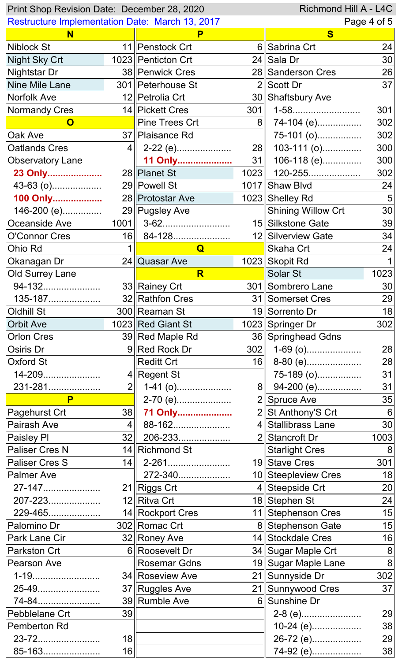| Richmond Hill A - L4C<br>Print Shop Revision Date: December 28, 2020 |                 |                       |                 |                           |                      |  |
|----------------------------------------------------------------------|-----------------|-----------------------|-----------------|---------------------------|----------------------|--|
| <b>Restructure Implementation Date: March 13, 2017</b>               |                 |                       |                 |                           | Page 4 of 5          |  |
| N                                                                    |                 |                       |                 | $\bf{s}$                  |                      |  |
| <b>Niblock St</b>                                                    |                 | 11   Penstock Crt     |                 | 6 Sabrina Crt             | 24                   |  |
| <b>Night Sky Crt</b>                                                 |                 | 1023 Penticton Crt    |                 | 24 Sala Dr                | 30                   |  |
| <b>Nightstar Dr</b>                                                  |                 | 38   Penwick Cres     |                 | 28 Sanderson Cres         | 26                   |  |
| Nine Mile Lane                                                       |                 | 301    Peterhouse St  |                 | 2 Scott Dr                | 37                   |  |
| Norfolk Ave                                                          |                 | 12   Petrolia Crt     |                 | 30 Shaftsbury Ave         |                      |  |
| <b>Normandy Cres</b>                                                 |                 | 14 Pickett Cres       | 301             | 1-58                      | 301                  |  |
| 0                                                                    |                 | <b>Pine Trees Crt</b> | 8 <sup>  </sup> | 74-104 (e)                | 302                  |  |
| Oak Ave                                                              |                 | 37   Plaisance Rd     |                 | 75-101 (o)                | 302                  |  |
| <b>Oatlands Cres</b>                                                 |                 | $4$   2-22 (e)        |                 | $28$   103-111 (o)        | 300                  |  |
| <b>Observatory Lane</b>                                              |                 | 11 Only               |                 | $31$    106-118 (e)       | 300                  |  |
| 23 Only                                                              |                 | 28 Planet St          |                 | $1023$   120-255          | 302                  |  |
| $43-63$ (o)                                                          |                 | 29 Powell St          |                 | 1017 Shaw Blvd            | 24                   |  |
| 100 Only                                                             |                 | 28   Protostar Ave    |                 | 1023 Shelley Rd           | 5                    |  |
| 146-200 (e)                                                          |                 | 29 Pugsley Ave        |                 | <b>Shining Willow Crt</b> | 30                   |  |
| Oceanside Ave                                                        |                 | $1001$ 3-62           |                 | 15 Silkstone Gate         | 39                   |  |
| <b>O'Connor Cres</b>                                                 |                 | $16$ 84-128           |                 | 12 Silverview Gate        | 34                   |  |
| Ohio Rd                                                              |                 | $\overline{Q}$        |                 | Skaha Crt                 | 24                   |  |
| Okanagan Dr                                                          |                 | 24 Quasar Ave         |                 | 1023 Skopit Rd            |                      |  |
| <b>Old Surrey Lane</b>                                               |                 | R                     |                 | Solar St                  | 1023                 |  |
| 94-132                                                               |                 | 33 Rainey Crt         |                 | 301 Sombrero Lane         | 30                   |  |
| 135-187                                                              |                 | 32 Rathfon Cres       |                 | 31 Somerset Cres          | 29                   |  |
| <b>Oldhill St</b>                                                    |                 | 300 Reaman St         |                 | 19 Sorrento Dr            | 18                   |  |
| <b>Orbit Ave</b>                                                     |                 | 1023 Red Giant St     |                 | 1023 Springer Dr          | 302                  |  |
| <b>Orlon Cres</b>                                                    |                 | 39 Red Maple Rd       |                 | 36 Springhead Gdns        |                      |  |
| Osiris Dr                                                            |                 | 9 Red Rock Dr         |                 | $302$   1-69 (o)          | 28                   |  |
| Oxford St                                                            |                 | <b>Reditt Crt</b>     | 16              | 8-80 (e)                  | 28                   |  |
| 14-209                                                               |                 | $4$ Regent St         |                 | 75-189 (o)                | 31                   |  |
|                                                                      | 2 <sub>II</sub> |                       |                 |                           | 31                   |  |
| 231-281<br>P                                                         |                 | $1-41$ (o)            |                 | 8 94-200 (e)              | 35                   |  |
|                                                                      | 38              | 2-70 (e)              |                 | 2 Spruce Ave              |                      |  |
| Pagehurst Crt<br>Pairash Ave                                         | 4 <sup>  </sup> | 71 Only               |                 | 2 St Anthony's Crt        | 6<br>30 <sup>°</sup> |  |
|                                                                      | 32 <sub>1</sub> | 88-162                |                 | 4 Stallibrass Lane        | 1003                 |  |
| Paisley PI                                                           |                 | 206-233               |                 | 2 Stancroft Dr            |                      |  |
| <b>Paliser Cres N</b>                                                |                 | 14 Richmond St        |                 | <b>Starlight Cres</b>     | 8                    |  |
| <b>Paliser Cres S</b>                                                |                 | $14$   2-261          |                 | 19 Stave Cres             | 301                  |  |
| <b>Palmer Ave</b>                                                    |                 | 272-340               |                 | 10 Steepleview Cres       | 18                   |  |
| 27-147                                                               |                 | 21 Riggs Crt          |                 | 4 Steepside Crt           | 20                   |  |
| 207-223                                                              |                 | 12 Ritva Crt          |                 | 18 Stephen St             | 24                   |  |
| 229-465                                                              |                 | 14 Rockport Cres      |                 | 11 Stephenson Cres        | 15                   |  |
| Palomino Dr                                                          |                 | 302 Romac Crt         |                 | 8 Stephenson Gate         | 15                   |  |
| Park Lane Cir                                                        |                 | 32 Roney Ave          |                 | 14 Stockdale Cres         | 16                   |  |
| <b>Parkston Crt</b>                                                  |                 | 6 Roosevelt Dr        |                 | 34 Sugar Maple Crt        | 8                    |  |
| <b>Pearson Ave</b>                                                   |                 | <b>Rosemar Gdns</b>   |                 | 19 Sugar Maple Lane       | 8                    |  |
| 1-19                                                                 |                 | 34 Roseview Ave       |                 | 21 Sunnyside Dr           | 302                  |  |
| 25-49                                                                |                 | 37 Ruggles Ave        |                 | 21 Sunnywood Cres         | 37                   |  |
| 74-84                                                                |                 | 39 Rumble Ave         |                 | 6 Sunshine Dr             |                      |  |
| Pebblelane Crt                                                       | 39              |                       |                 | 2-8 (e)                   | 29                   |  |
| Pemberton Rd                                                         |                 |                       |                 | 10-24 (e)                 | 38                   |  |
| 23-72                                                                | 18 <sub>l</sub> |                       |                 | 26-72 (e)                 | 29                   |  |
| 85-163                                                               | 16              |                       |                 | 74-92 (e)                 | 38                   |  |